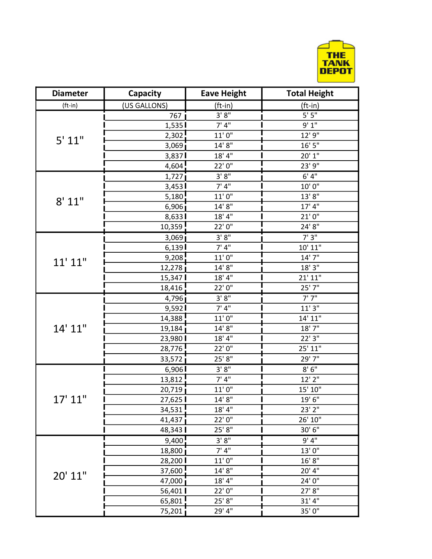

| <b>Diameter</b> | Capacity     | <b>Eave Height</b>           | <b>Total Height</b> |
|-----------------|--------------|------------------------------|---------------------|
| $(ft-in)$       | (US GALLONS) | (ft-in)                      | (ft-in)             |
|                 | 767          | 3'8"                         | $5'$ $5''$          |
|                 | 1,535        | 7' 4''                       | 9'1"                |
|                 | 2,302        | $11'0"$                      | 12' 9"              |
| 5' 11"          | 3,069        | $14'$ $8''$                  | $16'$ $5''$         |
|                 | 3,837        | $18^\circ\,4^{\prime\prime}$ | 20'1"               |
|                 | 4,604        | 22'0"                        | 23' 9"              |
|                 | 1,727        | 3'8''                        | 6'4''               |
|                 | 3,453        | 7' 4''                       | 10'0"               |
|                 | 5,180        | $11'$ $0''$                  | $13'$ $8''$         |
| 8' 11"          | 6,906        | 14'8''                       | 17' 4''             |
|                 | 8,633        | 18' 4''                      | 21'0''              |
|                 | 10,359       | 22'0''                       | $24'8''$            |
|                 | 3,069        | 3'8''                        | 7'3''               |
|                 | 6,139        | 7' 4''                       | 10' 11"             |
|                 | 9,208        | $11'0''$                     | 14' 7"              |
| $11'$ $11"$     | 12,278       | 14'8''                       | 18'3''              |
|                 | 15,347       | 18'4"                        | 21' 11"             |
|                 | 18,416       | 22'0"                        | 25' 7"              |
|                 | 4,796        | 3' 8''                       | 7'7''               |
|                 | 9,592        | 7' 4''                       | 11'3''              |
| 14' 11"         | 14,388       | $11'$ $0''$                  | 14' 11"             |
|                 | 19,184       | 14'8''                       | 18'7''              |
|                 | 23,980       | 18'4"                        | 22' 3"              |
|                 | 28,776       | 22'0''                       | 25' 11"             |
|                 | 33,572       | 25'8"                        | 29' 7"              |
| 17' 11"         | 6,906        | $3'8"$                       | $8'$ $6''$          |
|                 | 13,812       | 7' 4''                       | $12'$ $2''$         |
|                 | 20,719       | $11'0"$                      | 15' 10"             |
|                 | 27,625       | 14'8''                       | 19'6"               |
|                 | 34,531       | 18'4"                        | 23' 2"              |
|                 | 41,437       | 22'0"                        | 26' 10"             |
|                 | 48,343       | 25'8"                        | 30'6"               |
| 20' 11"         | 9,400        | 3'8''                        | 9' 4''              |
|                 | 18,800       | 7' 4''                       | 13'0"               |
|                 | 28,200       | 11'0''                       | 16' 8''             |
|                 | 37,600       | 14'8''                       | 20' 4"              |
|                 | 47,000       | 18'4"                        | 24'0"               |
|                 | 56,401       | 22'0"                        | 27' 8"              |
|                 | 65,801       | 25'8"                        | 31' 4''             |
|                 | 75,201       | 29' 4"                       | 35'0"               |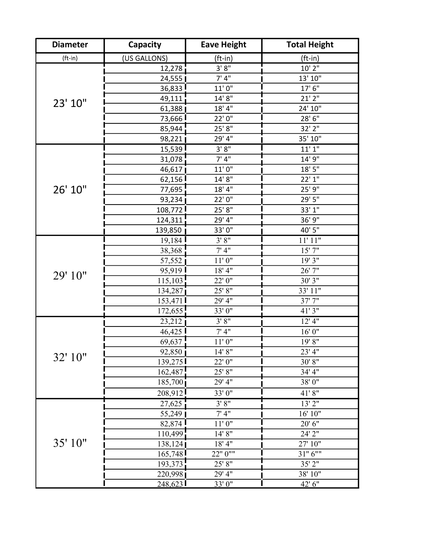| <b>Diameter</b> | <b>Capacity</b>       | <b>Eave Height</b>           | <b>Total Height</b>          |
|-----------------|-----------------------|------------------------------|------------------------------|
| $(ft-in)$       | (US GALLONS)          | <u>(ft-in)</u>               | (ft-in)                      |
| 23' 10"         | 12,278                | 3'8''                        | 10' 2"                       |
|                 | 24,555                | 7' 4''                       | 13' 10"                      |
|                 | 36,833                | 11'0''                       | 17'6''                       |
|                 | 49,111                | 14'8''                       | 21'2"                        |
|                 | 61,388                | 18'4"                        | 24' 10"                      |
|                 | 73,666 <mark>!</mark> | 22'0"                        | 28'6"                        |
|                 | 85,944                | 25'8"                        | 32' 2"                       |
|                 | 98,221                | 29' 4"                       | 35' 10"                      |
|                 | 15,539                | 3'8''                        | 11'1''                       |
|                 | 31,078                | 7' 4''                       | 14' 9"                       |
|                 | 46,617                | $11'0''$                     | $18'$ $5''$                  |
|                 | 62,156                | 14'8''                       | 22'1"                        |
| 26' 10"         | 77,695                | 18' 4''                      | 25' 9"                       |
|                 | 93,234                | 22'0"                        | 29'5''                       |
|                 | 108,772               | 25'8"                        | 33' 1"                       |
|                 | 124,311               | 29' 4"                       | 36' 9"                       |
|                 | 139,850               | 33'0"                        | 40' 5"                       |
|                 | 19,184                | 3'8''                        | 11'11"                       |
|                 | 38,368                | 7' 4''                       | $15'$ $7''$                  |
|                 | 57,552                | $11^\circ\,0^{\prime\prime}$ | 19' 3"                       |
| 29' 10"         | 95,919                | $18'$ $4"$                   | $26^\circ\,7^\circ$          |
|                 | 115,103               | 22'0"                        | 30' 3"                       |
|                 | 134,287               | 25' 8''                      | 33' 11"                      |
|                 | 153,471               | 29' 4"                       | 37'7"                        |
|                 | 172,655               | 33'0"                        | 41'3"                        |
| 32' 10"         | 23,212                | 3' 8''                       | $12'$ 4"                     |
|                 | $46,425$ !            | 7'4"                         | $16^\circ\,0^{\prime\prime}$ |
|                 | 69,637                | 11'0''                       | 19' 8"                       |
|                 | $92,850$ j            | 14' 8''                      | 23' 4"                       |
|                 | 139,275               | 22' 0"                       | 30' 8"                       |
|                 | 162,487               | 25' 8"                       | 34' 4"                       |
|                 | 185,700               | 29' 4"                       | 38'0"                        |
|                 | 208,912               | 33'0"                        | $41^\circ\,8^\circ$          |
|                 | 27,625                | 3'8''                        | $13'\overline{2''}$          |
|                 | 55,249                | 7'4"                         | $16'$ $10"$                  |
| 35' 10"         | 82,874                | $11^\circ\,0^{\prime\prime}$ | $20^{\circ}$ $6^{\circ}$     |
|                 | 110,499               | 14' 8''                      | 24' 2"                       |
|                 | 138,124               | $18'$ 4"                     | 27' 10"                      |
|                 | 165,748               | 22" 0""                      | $31"$ $6""$                  |
|                 | 193,373               | 25' 8"                       | 35' 2"                       |
|                 | 220,998               | 29' 4"                       | 38' 10"                      |
|                 | 248,623               | 33' 0"                       | 42' 6"                       |